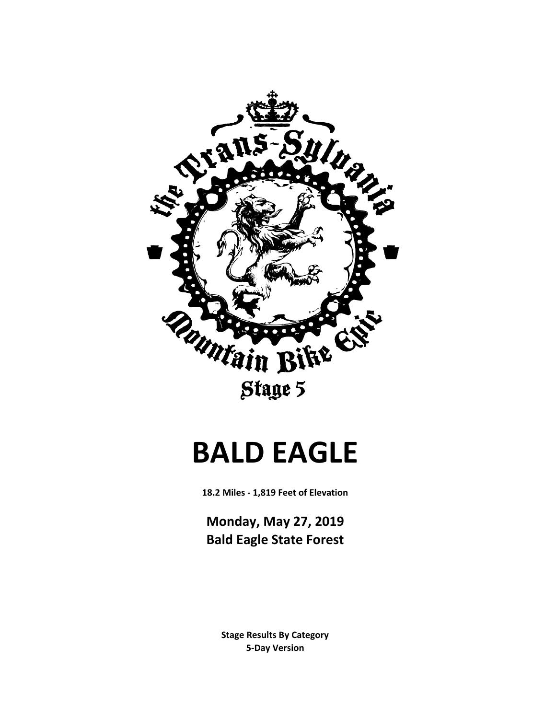

# **BALD EAGLE**

**18.2 Miles - 1,819 Feet of Elevation**

**Monday, May 27, 2019 Bald Eagle State Forest**

> **Stage Results By Category 5-Day Version**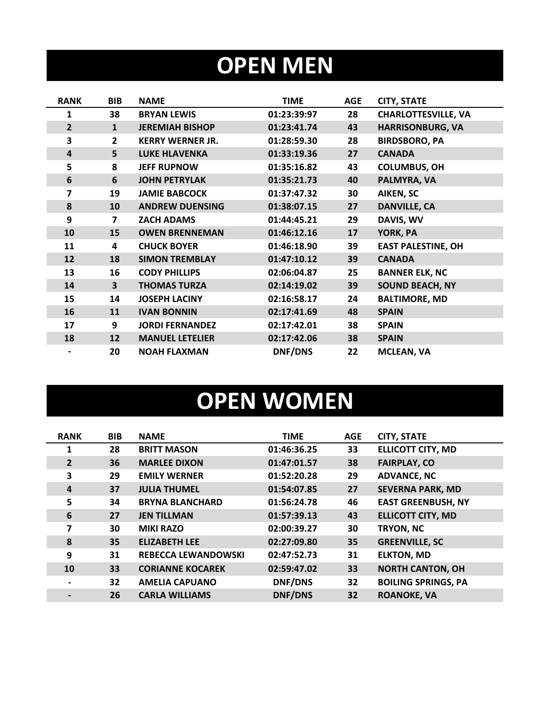### **OPEN MEN**

| <b>RANK</b>    | <b>BIB</b>              | <b>NAME</b>             | <b>TIME</b>    | <b>AGE</b> | <b>CITY, STATE</b>         |
|----------------|-------------------------|-------------------------|----------------|------------|----------------------------|
| 1              | 38                      | <b>BRYAN LEWIS</b>      | 01:23:39:97    | 28         | <b>CHARLOTTESVILLE, VA</b> |
| $\overline{2}$ | $\mathbf{1}$            | <b>JEREMIAH BISHOP</b>  | 01:23:41.74    | 43         | <b>HARRISONBURG, VA</b>    |
| 3              | $\mathbf{2}$            | <b>KERRY WERNER JR.</b> | 01:28:59.30    | 28         | <b>BIRDSBORO, PA</b>       |
| 4              | 5                       | <b>LUKE HLAVENKA</b>    | 01:33:19.36    | 27         | <b>CANADA</b>              |
| 5              | 8                       | <b>JEFF RUPNOW</b>      | 01:35:16.82    | 43         | <b>COLUMBUS, OH</b>        |
| 6              | $6\phantom{1}$          | <b>JOHN PETRYLAK</b>    | 01:35:21.73    | 40         | PALMYRA, VA                |
| 7              | 19                      | <b>JAMIE BABCOCK</b>    | 01:37:47.32    | 30         | <b>AIKEN, SC</b>           |
| 8              | 10                      | <b>ANDREW DUENSING</b>  | 01:38:07.15    | 27         | <b>DANVILLE, CA</b>        |
| 9              | $\overline{\mathbf{z}}$ | <b>ZACH ADAMS</b>       | 01:44:45.21    | 29         | DAVIS, WV                  |
| 10             | 15                      | <b>OWEN BRENNEMAN</b>   | 01:46:12.16    | 17         | YORK, PA                   |
| 11             | 4                       | <b>CHUCK BOYER</b>      | 01:46:18.90    | 39         | <b>EAST PALESTINE, OH</b>  |
| 12             | 18                      | <b>SIMON TREMBLAY</b>   | 01:47:10.12    | 39         | <b>CANADA</b>              |
| 13             | 16                      | <b>CODY PHILLIPS</b>    | 02:06:04.87    | 25         | <b>BANNER ELK, NC</b>      |
| 14             | $\overline{\mathbf{3}}$ | <b>THOMAS TURZA</b>     | 02:14:19.02    | 39         | <b>SOUND BEACH, NY</b>     |
| 15             | 14                      | <b>JOSEPH LACINY</b>    | 02:16:58.17    | 24         | <b>BALTIMORE, MD</b>       |
| 16             | 11                      | <b>IVAN BONNIN</b>      | 02:17:41.69    | 48         | <b>SPAIN</b>               |
| 17             | 9                       | <b>JORDI FERNANDEZ</b>  | 02:17:42.01    | 38         | <b>SPAIN</b>               |
| 18             | 12                      | <b>MANUEL LETELIER</b>  | 02:17:42.06    | 38         | <b>SPAIN</b>               |
|                | 20                      | <b>NOAH FLAXMAN</b>     | <b>DNF/DNS</b> | 22         | <b>MCLEAN, VA</b>          |

# **OPEN WOMEN**

| <b>RANK</b>    | <b>BIB</b> | <b>NAME</b>                | <b>TIME</b>    | <b>AGE</b> | <b>CITY, STATE</b>         |
|----------------|------------|----------------------------|----------------|------------|----------------------------|
| $\mathbf{1}$   | 28         | <b>BRITT MASON</b>         | 01:46:36.25    | 33         | <b>ELLICOTT CITY, MD</b>   |
| $\overline{2}$ | 36         | <b>MARLEE DIXON</b>        | 01:47:01.57    | 38         | <b>FAIRPLAY, CO</b>        |
| 3              | 29         | <b>EMILY WERNER</b>        | 01:52:20.28    | 29         | <b>ADVANCE, NC</b>         |
| $\overline{a}$ | 37         | <b>JULIA THUMEL</b>        | 01:54:07.85    | 27         | <b>SEVERNA PARK, MD</b>    |
| 5              | 34         | <b>BRYNA BLANCHARD</b>     | 01:56:24.78    | 46         | <b>EAST GREENBUSH, NY</b>  |
| 6              | 27         | <b>JEN TILLMAN</b>         | 01:57:39.13    | 43         | <b>ELLICOTT CITY, MD</b>   |
| 7              | 30         | <b>MIKI RAZO</b>           | 02:00:39.27    | 30         | TRYON, NC                  |
| 8              | 35         | <b>ELIZABETH LEE</b>       | 02:27:09.80    | 35         | <b>GREENVILLE, SC</b>      |
| 9              | 31         | <b>REBECCA LEWANDOWSKI</b> | 02:47:52.73    | 31         | <b>ELKTON, MD</b>          |
| 10             | 33         | <b>CORIANNE KOCAREK</b>    | 02:59:47.02    | 33         | <b>NORTH CANTON, OH</b>    |
|                | 32         | <b>AMELIA CAPUANO</b>      | DNF/DNS        | 32         | <b>BOILING SPRINGS, PA</b> |
|                | 26         | <b>CARLA WILLIAMS</b>      | <b>DNF/DNS</b> | 32         | <b>ROANOKE, VA</b>         |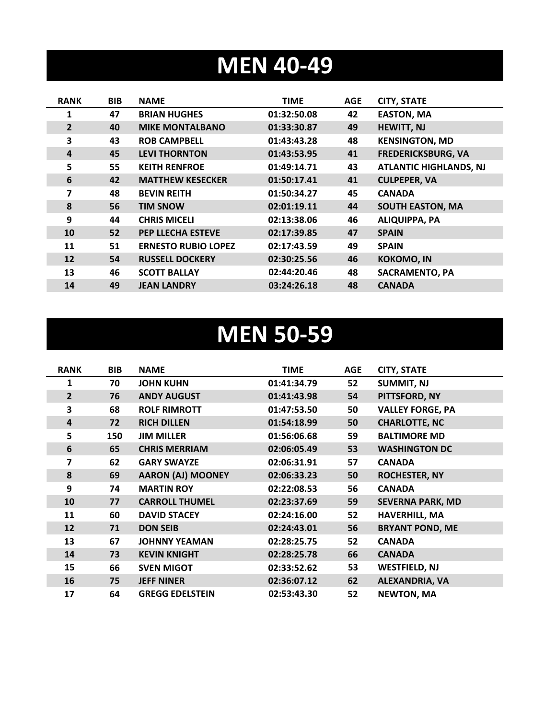#### **MEN 40-49**

| <b>RANK</b>    | <b>BIB</b> | <b>NAME</b>                | <b>TIME</b> | <b>AGE</b> | <b>CITY, STATE</b>            |
|----------------|------------|----------------------------|-------------|------------|-------------------------------|
| 1              | 47         | <b>BRIAN HUGHES</b>        | 01:32:50.08 | 42         | <b>EASTON, MA</b>             |
| $\overline{2}$ | 40         | <b>MIKE MONTALBANO</b>     | 01:33:30.87 | 49         | <b>HEWITT, NJ</b>             |
| 3              | 43         | <b>ROB CAMPBELL</b>        | 01:43:43.28 | 48         | <b>KENSINGTON, MD</b>         |
| 4              | 45         | <b>LEVI THORNTON</b>       | 01:43:53.95 | 41         | <b>FREDERICKSBURG, VA</b>     |
| 5              | 55         | <b>KEITH RENFROE</b>       | 01:49:14.71 | 43         | <b>ATLANTIC HIGHLANDS, NJ</b> |
| 6              | 42         | <b>MATTHEW KESECKER</b>    | 01:50:17.41 | 41         | <b>CULPEPER, VA</b>           |
| 7              | 48         | <b>BEVIN REITH</b>         | 01:50:34.27 | 45         | <b>CANADA</b>                 |
| 8              | 56         | <b>TIM SNOW</b>            | 02:01:19.11 | 44         | <b>SOUTH EASTON, MA</b>       |
| 9              | 44         | <b>CHRIS MICELI</b>        | 02:13:38.06 | 46         | <b>ALIQUIPPA, PA</b>          |
| 10             | 52         | PEP LLECHA ESTEVE          | 02:17:39.85 | 47         | <b>SPAIN</b>                  |
| 11             | 51         | <b>ERNESTO RUBIO LOPEZ</b> | 02:17:43.59 | 49         | <b>SPAIN</b>                  |
| 12             | 54         | <b>RUSSELL DOCKERY</b>     | 02:30:25.56 | 46         | <b>KOKOMO, IN</b>             |
| 13             | 46         | <b>SCOTT BALLAY</b>        | 02:44:20.46 | 48         | <b>SACRAMENTO, PA</b>         |
| 14             | 49         | <b>JEAN LANDRY</b>         | 03:24:26.18 | 48         | <b>CANADA</b>                 |

#### **MEN 50-59**

| <b>RANK</b>    | <b>BIB</b> | <b>NAME</b>              | <b>TIME</b> | <b>AGE</b> | <b>CITY, STATE</b>      |
|----------------|------------|--------------------------|-------------|------------|-------------------------|
| 1              | 70         | <b>JOHN KUHN</b>         | 01:41:34.79 | 52         | <b>SUMMIT, NJ</b>       |
| $\overline{2}$ | 76         | <b>ANDY AUGUST</b>       | 01:41:43.98 | 54         | PITTSFORD, NY           |
| 3              | 68         | <b>ROLF RIMROTT</b>      | 01:47:53.50 | 50         | <b>VALLEY FORGE, PA</b> |
| 4              | 72         | <b>RICH DILLEN</b>       | 01:54:18.99 | 50         | <b>CHARLOTTE, NC</b>    |
| 5              | 150        | <b>JIM MILLER</b>        | 01:56:06.68 | 59         | <b>BALTIMORE MD</b>     |
| 6              | 65         | <b>CHRIS MERRIAM</b>     | 02:06:05.49 | 53         | <b>WASHINGTON DC</b>    |
| 7              | 62         | <b>GARY SWAYZE</b>       | 02:06:31.91 | 57         | <b>CANADA</b>           |
| 8              | 69         | <b>AARON (AJ) MOONEY</b> | 02:06:33.23 | 50         | <b>ROCHESTER, NY</b>    |
| 9              | 74         | <b>MARTIN ROY</b>        | 02:22:08.53 | 56         | <b>CANADA</b>           |
| 10             | 77         | <b>CARROLL THUMEL</b>    | 02:23:37.69 | 59         | <b>SEVERNA PARK, MD</b> |
| 11             | 60         | <b>DAVID STACEY</b>      | 02:24:16.00 | 52         | <b>HAVERHILL, MA</b>    |
| 12             | 71         | <b>DON SEIB</b>          | 02:24:43.01 | 56         | <b>BRYANT POND, ME</b>  |
| 13             | 67         | <b>JOHNNY YEAMAN</b>     | 02:28:25.75 | 52         | <b>CANADA</b>           |
| 14             | 73         | <b>KEVIN KNIGHT</b>      | 02:28:25.78 | 66         | <b>CANADA</b>           |
| 15             | 66         | <b>SVEN MIGOT</b>        | 02:33:52.62 | 53         | <b>WESTFIELD, NJ</b>    |
| 16             | 75         | <b>JEFF NINER</b>        | 02:36:07.12 | 62         | <b>ALEXANDRIA, VA</b>   |
| 17             | 64         | <b>GREGG EDELSTEIN</b>   | 02:53:43.30 | 52         | <b>NEWTON, MA</b>       |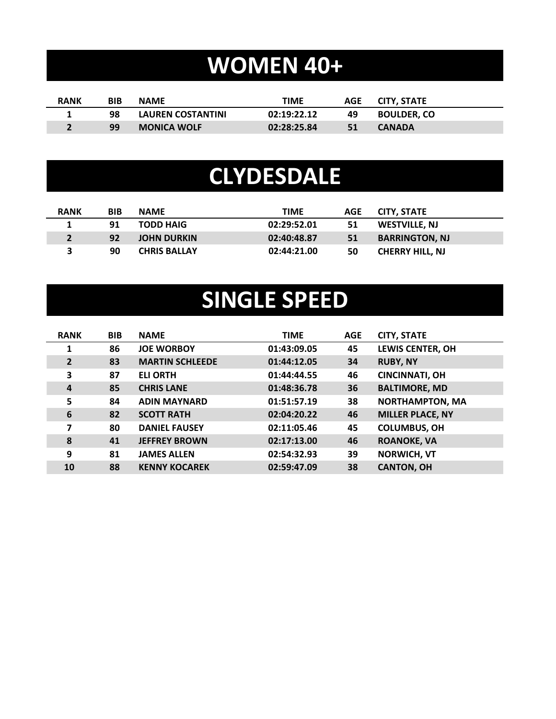# **WOMEN 40+**

| <b>RANK</b> | BIB | <b>NAME</b>              | TIME        |    | AGE CITY. STATE    |
|-------------|-----|--------------------------|-------------|----|--------------------|
|             | 98  | <b>LAUREN COSTANTINI</b> | 02:19:22.12 | 49 | <b>BOULDER. CO</b> |
|             | 99  | <b>MONICA WOLF</b>       | 02:28:25.84 | 51 | <b>CANADA</b>      |

#### **CLYDESDALE**

| <b>RANK</b> | <b>BIB</b> | <b>NAME</b>         | TIME        | <b>AGE</b> | <b>CITY, STATE</b>     |
|-------------|------------|---------------------|-------------|------------|------------------------|
|             | 91         | <b>TODD HAIG</b>    | 02:29:52.01 | 51         | WESTVILLE, NJ          |
|             | 92         | <b>JOHN DURKIN</b>  | 02:40:48.87 | 51         | <b>BARRINGTON, NJ</b>  |
|             | 90         | <b>CHRIS BALLAY</b> | 02:44:21.00 | 50         | <b>CHERRY HILL, NJ</b> |

### **SINGLE SPEED**

| <b>RANK</b>    | <b>BIB</b> | <b>NAME</b>            | <b>TIME</b> | <b>AGE</b> | <b>CITY, STATE</b>      |
|----------------|------------|------------------------|-------------|------------|-------------------------|
| $\mathbf{1}$   | 86         | <b>JOE WORBOY</b>      | 01:43:09.05 | 45         | <b>LEWIS CENTER, OH</b> |
| $\overline{2}$ | 83         | <b>MARTIN SCHLEEDE</b> | 01:44:12.05 | 34         | <b>RUBY, NY</b>         |
| 3              | 87         | <b>ELI ORTH</b>        | 01:44:44.55 | 46         | <b>CINCINNATI, OH</b>   |
| $\overline{a}$ | 85         | <b>CHRIS LANE</b>      | 01:48:36.78 | 36         | <b>BALTIMORE, MD</b>    |
| 5              | 84         | <b>ADIN MAYNARD</b>    | 01:51:57.19 | 38         | <b>NORTHAMPTON, MA</b>  |
| 6              | 82         | <b>SCOTT RATH</b>      | 02:04:20.22 | 46         | <b>MILLER PLACE, NY</b> |
| 7              | 80         | <b>DANIEL FAUSEY</b>   | 02:11:05.46 | 45         | <b>COLUMBUS, OH</b>     |
| 8              | 41         | <b>JEFFREY BROWN</b>   | 02:17:13.00 | 46         | <b>ROANOKE, VA</b>      |
| 9              | 81         | <b>JAMES ALLEN</b>     | 02:54:32.93 | 39         | <b>NORWICH, VT</b>      |
| 10             | 88         | <b>KENNY KOCAREK</b>   | 02:59:47.09 | 38         | <b>CANTON, OH</b>       |